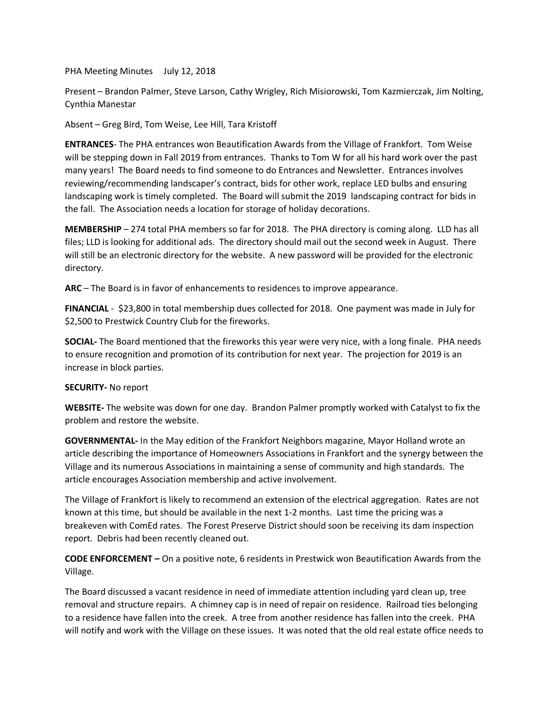PHA Meeting Minutes July 12, 2018

Present – Brandon Palmer, Steve Larson, Cathy Wrigley, Rich Misiorowski, Tom Kazmierczak, Jim Nolting, Cynthia Manestar

Absent – Greg Bird, Tom Weise, Lee Hill, Tara Kristoff

**ENTRANCES**- The PHA entrances won Beautification Awards from the Village of Frankfort. Tom Weise will be stepping down in Fall 2019 from entrances. Thanks to Tom W for all his hard work over the past many years! The Board needs to find someone to do Entrances and Newsletter. Entrances involves reviewing/recommending landscaper's contract, bids for other work, replace LED bulbs and ensuring landscaping work is timely completed. The Board will submit the 2019 landscaping contract for bids in the fall. The Association needs a location for storage of holiday decorations.

**MEMBERSHIP** – 274 total PHA members so far for 2018. The PHA directory is coming along. LLD has all files; LLD is looking for additional ads. The directory should mail out the second week in August. There will still be an electronic directory for the website. A new password will be provided for the electronic directory.

**ARC** – The Board is in favor of enhancements to residences to improve appearance.

**FINANCIAL** - \$23,800 in total membership dues collected for 2018. One payment was made in July for \$2,500 to Prestwick Country Club for the fireworks.

**SOCIAL-** The Board mentioned that the fireworks this year were very nice, with a long finale. PHA needs to ensure recognition and promotion of its contribution for next year. The projection for 2019 is an increase in block parties.

## **SECURITY-** No report

**WEBSITE-** The website was down for one day. Brandon Palmer promptly worked with Catalyst to fix the problem and restore the website.

**GOVERNMENTAL-** In the May edition of the Frankfort Neighbors magazine, Mayor Holland wrote an article describing the importance of Homeowners Associations in Frankfort and the synergy between the Village and its numerous Associations in maintaining a sense of community and high standards. The article encourages Association membership and active involvement.

The Village of Frankfort is likely to recommend an extension of the electrical aggregation. Rates are not known at this time, but should be available in the next 1-2 months. Last time the pricing was a breakeven with ComEd rates. The Forest Preserve District should soon be receiving its dam inspection report. Debris had been recently cleaned out.

**CODE ENFORCEMENT –** On a positive note, 6 residents in Prestwick won Beautification Awards from the Village.

The Board discussed a vacant residence in need of immediate attention including yard clean up, tree removal and structure repairs. A chimney cap is in need of repair on residence. Railroad ties belonging to a residence have fallen into the creek. A tree from another residence has fallen into the creek. PHA will notify and work with the Village on these issues. It was noted that the old real estate office needs to